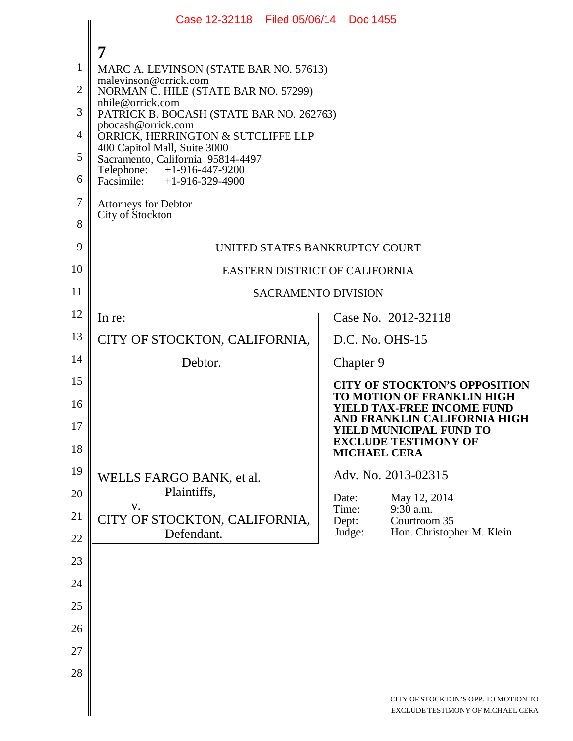|                | Case 12-32118 Filed 05/06/14 Doc 1455                                                                                                                                                     |                     |                                                                                                 |  |  |  |  |
|----------------|-------------------------------------------------------------------------------------------------------------------------------------------------------------------------------------------|---------------------|-------------------------------------------------------------------------------------------------|--|--|--|--|
|                |                                                                                                                                                                                           |                     |                                                                                                 |  |  |  |  |
| $\mathbf{1}$   | MARC A. LEVINSON (STATE BAR NO. 57613)                                                                                                                                                    |                     |                                                                                                 |  |  |  |  |
| $\overline{2}$ | malevinson@orrick.com<br>NORMAN C. HILE (STATE BAR NO. 57299)<br>nhile@orrick.com<br>PATRICK B. BOCASH (STATE BAR NO. 262763)<br>pbocash@orrick.com<br>ORRICK, HERRINGTON & SUTCLIFFE LLP |                     |                                                                                                 |  |  |  |  |
| 3              |                                                                                                                                                                                           |                     |                                                                                                 |  |  |  |  |
| $\overline{4}$ |                                                                                                                                                                                           |                     |                                                                                                 |  |  |  |  |
| 5              | 400 Capitol Mall, Suite 3000<br>Sacramento, California 95814-4497                                                                                                                         |                     |                                                                                                 |  |  |  |  |
| 6              | Telephone: +1-916-447-9200<br>Facsimile: $+1-916-329-4900$                                                                                                                                |                     |                                                                                                 |  |  |  |  |
| 7              | Attorneys for Debtor                                                                                                                                                                      |                     |                                                                                                 |  |  |  |  |
| 8              | City of Stockton                                                                                                                                                                          |                     |                                                                                                 |  |  |  |  |
| 9              | UNITED STATES BANKRUPTCY COURT                                                                                                                                                            |                     |                                                                                                 |  |  |  |  |
| 10             | EASTERN DISTRICT OF CALIFORNIA                                                                                                                                                            |                     |                                                                                                 |  |  |  |  |
| 11             | <b>SACRAMENTO DIVISION</b>                                                                                                                                                                |                     |                                                                                                 |  |  |  |  |
| 12             | In re:                                                                                                                                                                                    |                     | Case No. 2012-32118                                                                             |  |  |  |  |
| 13             | CITY OF STOCKTON, CALIFORNIA,                                                                                                                                                             | D.C. No. OHS-15     |                                                                                                 |  |  |  |  |
| 14             | Debtor.                                                                                                                                                                                   | Chapter 9           |                                                                                                 |  |  |  |  |
| 15             |                                                                                                                                                                                           |                     | <b>CITY OF STOCKTON'S OPPOSITION</b>                                                            |  |  |  |  |
| 16             |                                                                                                                                                                                           |                     | TO MOTION OF FRANKLIN HIGH<br><b>YIELD TAX-FREE INCOME FUND</b><br>AND FRANKLIN CALIFORNIA HIGH |  |  |  |  |
| 17             |                                                                                                                                                                                           |                     | <b>YIELD MUNICIPAL FUND TO</b><br><b>EXCLUDE TESTIMONY OF</b>                                   |  |  |  |  |
| 18             |                                                                                                                                                                                           | <b>MICHAEL CERA</b> |                                                                                                 |  |  |  |  |
| 19             | WELLS FARGO BANK, et al.                                                                                                                                                                  |                     | Adv. No. 2013-02315                                                                             |  |  |  |  |
| 20             | Plaintiffs,<br>V.                                                                                                                                                                         | Date:<br>Time:      | May 12, 2014<br>$9:30$ a.m.                                                                     |  |  |  |  |
| 21             | CITY OF STOCKTON, CALIFORNIA,<br>Defendant.                                                                                                                                               | Dept:<br>Judge:     | Courtroom 35<br>Hon. Christopher M. Klein                                                       |  |  |  |  |
| 22             |                                                                                                                                                                                           |                     |                                                                                                 |  |  |  |  |
| 23             |                                                                                                                                                                                           |                     |                                                                                                 |  |  |  |  |
| 24             |                                                                                                                                                                                           |                     |                                                                                                 |  |  |  |  |
| 25             |                                                                                                                                                                                           |                     |                                                                                                 |  |  |  |  |
| 26             |                                                                                                                                                                                           |                     |                                                                                                 |  |  |  |  |
| 27             |                                                                                                                                                                                           |                     |                                                                                                 |  |  |  |  |
| 28             |                                                                                                                                                                                           |                     |                                                                                                 |  |  |  |  |
|                |                                                                                                                                                                                           |                     | CITY OF STOCKTON'S OPP. TO MOTION TO<br>EXCLUDE TESTIMONY OF MICHAEL CERA                       |  |  |  |  |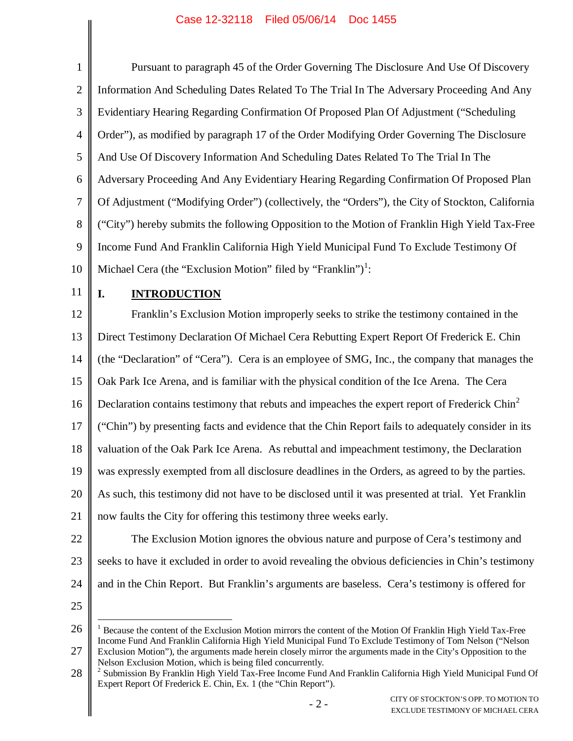#### Case 12-32118 Filed 05/06/14 Doc 1455

| $\mathbf{1}$   | Pursuant to paragraph 45 of the Order Governing The Disclosure And Use Of Discovery                                                                                                                                        |  |  |  |  |
|----------------|----------------------------------------------------------------------------------------------------------------------------------------------------------------------------------------------------------------------------|--|--|--|--|
| $\overline{2}$ | Information And Scheduling Dates Related To The Trial In The Adversary Proceeding And Any                                                                                                                                  |  |  |  |  |
| 3              | Evidentiary Hearing Regarding Confirmation Of Proposed Plan Of Adjustment ("Scheduling                                                                                                                                     |  |  |  |  |
| $\overline{4}$ | Order"), as modified by paragraph 17 of the Order Modifying Order Governing The Disclosure                                                                                                                                 |  |  |  |  |
| 5              | And Use Of Discovery Information And Scheduling Dates Related To The Trial In The                                                                                                                                          |  |  |  |  |
| 6              | Adversary Proceeding And Any Evidentiary Hearing Regarding Confirmation Of Proposed Plan                                                                                                                                   |  |  |  |  |
| $\overline{7}$ | Of Adjustment ("Modifying Order") (collectively, the "Orders"), the City of Stockton, California                                                                                                                           |  |  |  |  |
| 8              | ("City") hereby submits the following Opposition to the Motion of Franklin High Yield Tax-Free                                                                                                                             |  |  |  |  |
| 9              | Income Fund And Franklin California High Yield Municipal Fund To Exclude Testimony Of                                                                                                                                      |  |  |  |  |
| 10             | Michael Cera (the "Exclusion Motion" filed by "Franklin") <sup>1</sup> :                                                                                                                                                   |  |  |  |  |
| 11             | I.<br><b>INTRODUCTION</b>                                                                                                                                                                                                  |  |  |  |  |
| 12             | Franklin's Exclusion Motion improperly seeks to strike the testimony contained in the                                                                                                                                      |  |  |  |  |
| 13             | Direct Testimony Declaration Of Michael Cera Rebutting Expert Report Of Frederick E. Chin                                                                                                                                  |  |  |  |  |
| 14             | (the "Declaration" of "Cera"). Cera is an employee of SMG, Inc., the company that manages the                                                                                                                              |  |  |  |  |
| 15             | Oak Park Ice Arena, and is familiar with the physical condition of the Ice Arena. The Cera                                                                                                                                 |  |  |  |  |
| 16             | Declaration contains testimony that rebuts and impeaches the expert report of Frederick Chin <sup>2</sup>                                                                                                                  |  |  |  |  |
| 17             | ("Chin") by presenting facts and evidence that the Chin Report fails to adequately consider in its                                                                                                                         |  |  |  |  |
| 18             | valuation of the Oak Park Ice Arena. As rebuttal and impeachment testimony, the Declaration                                                                                                                                |  |  |  |  |
| 19             | was expressly exempted from all disclosure deadlines in the Orders, as agreed to by the parties.                                                                                                                           |  |  |  |  |
| 20             | As such, this testimony did not have to be disclosed until it was presented at trial. Yet Franklin                                                                                                                         |  |  |  |  |
| 21             | now faults the City for offering this testimony three weeks early.                                                                                                                                                         |  |  |  |  |
| 22             | The Exclusion Motion ignores the obvious nature and purpose of Cera's testimony and                                                                                                                                        |  |  |  |  |
| 23             | seeks to have it excluded in order to avoid revealing the obvious deficiencies in Chin's testimony                                                                                                                         |  |  |  |  |
| 24             | and in the Chin Report. But Franklin's arguments are baseless. Cera's testimony is offered for                                                                                                                             |  |  |  |  |
| 25             |                                                                                                                                                                                                                            |  |  |  |  |
| 26             | Because the content of the Exclusion Motion mirrors the content of the Motion Of Franklin High Yield Tax-Free<br>Income Fund And Franklin California High Yield Municinal Fund To Exclude Testimony of Tom Nelson ("Nelson |  |  |  |  |

<sup>27</sup> Income Fund And Franklin California High Yield Municipal Fund To Exclude Testimony of Tom Nelson ("Nelson Exclusion Motion"), the arguments made herein closely mirror the arguments made in the City's Opposition to the Nelson Exclusion Motion, which is being filed concurrently.

<sup>28</sup> <sup>2</sup> Submission By Franklin High Yield Tax-Free Income Fund And Franklin California High Yield Municipal Fund Of Expert Report Of Frederick E. Chin, Ex. 1 (the "Chin Report").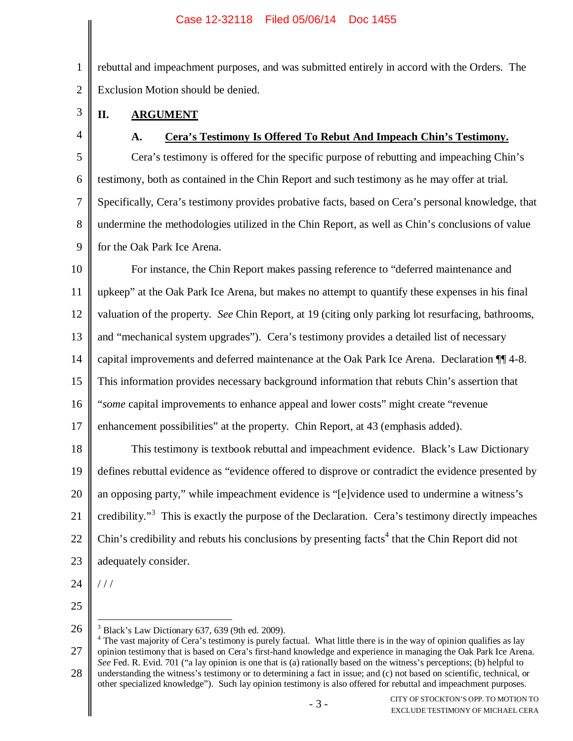1 2 rebuttal and impeachment purposes, and was submitted entirely in accord with the Orders. The Exclusion Motion should be denied.

- **II. ARGUMENT**
- 4

3

## **A. Cera's Testimony Is Offered To Rebut And Impeach Chin's Testimony.**

5 6 7 8 9 Cera's testimony is offered for the specific purpose of rebutting and impeaching Chin's testimony, both as contained in the Chin Report and such testimony as he may offer at trial. Specifically, Cera's testimony provides probative facts, based on Cera's personal knowledge, that undermine the methodologies utilized in the Chin Report, as well as Chin's conclusions of value for the Oak Park Ice Arena.

10 11 12 13 14 15 16 17 18 19 20 21 For instance, the Chin Report makes passing reference to "deferred maintenance and upkeep" at the Oak Park Ice Arena, but makes no attempt to quantify these expenses in his final valuation of the property. *See* Chin Report, at 19 (citing only parking lot resurfacing, bathrooms, and "mechanical system upgrades"). Cera's testimony provides a detailed list of necessary capital improvements and deferred maintenance at the Oak Park Ice Arena. Declaration ¶¶ 4-8. This information provides necessary background information that rebuts Chin's assertion that "*some* capital improvements to enhance appeal and lower costs" might create "revenue enhancement possibilities" at the property. Chin Report, at 43 (emphasis added). This testimony is textbook rebuttal and impeachment evidence. Black's Law Dictionary defines rebuttal evidence as "evidence offered to disprove or contradict the evidence presented by an opposing party," while impeachment evidence is "[e]vidence used to undermine a witness's credibility."<sup>3</sup> This is exactly the purpose of the Declaration. Cera's testimony directly impeaches

- 22 Chin's credibility and rebuts his conclusions by presenting facts<sup>4</sup> that the Chin Report did not
- 23 adequately consider.

/ / /

- 24
- 25

26  $3$  Black's Law Dictionary 637, 639 (9th ed. 2009).

27 28  $4$  The vast majority of Cera's testimony is purely factual. What little there is in the way of opinion qualifies as lay opinion testimony that is based on Cera's first-hand knowledge and experience in managing the Oak Park Ice Arena. *See* Fed. R. Evid. 701 ("a lay opinion is one that is (a) rationally based on the witness's perceptions; (b) helpful to understanding the witness's testimony or to determining a fact in issue; and (c) not based on scientific, technical, or other specialized knowledge"). Such lay opinion testimony is also offered for rebuttal and impeachment purposes.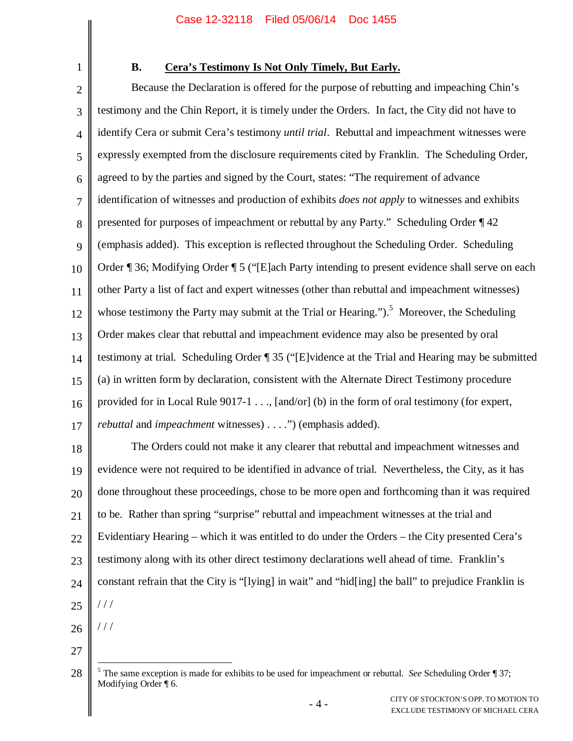1

# **B. Cera's Testimony Is Not Only Timely, But Early.**

2 3 4 5 6 7 8 9 10 11 12 13 14 15 16 17 18 19 20 21 22 23 24 Because the Declaration is offered for the purpose of rebutting and impeaching Chin's testimony and the Chin Report, it is timely under the Orders. In fact, the City did not have to identify Cera or submit Cera's testimony *until trial*. Rebuttal and impeachment witnesses were expressly exempted from the disclosure requirements cited by Franklin. The Scheduling Order, agreed to by the parties and signed by the Court, states: "The requirement of advance identification of witnesses and production of exhibits *does not apply* to witnesses and exhibits presented for purposes of impeachment or rebuttal by any Party." Scheduling Order ¶ 42 (emphasis added). This exception is reflected throughout the Scheduling Order. Scheduling Order ¶ 36; Modifying Order ¶ 5 ("[E]ach Party intending to present evidence shall serve on each other Party a list of fact and expert witnesses (other than rebuttal and impeachment witnesses) whose testimony the Party may submit at the Trial or Hearing.").<sup>5</sup> Moreover, the Scheduling Order makes clear that rebuttal and impeachment evidence may also be presented by oral testimony at trial. Scheduling Order ¶ 35 ("[E]vidence at the Trial and Hearing may be submitted (a) in written form by declaration, consistent with the Alternate Direct Testimony procedure provided for in Local Rule 9017-1 . . ., [and/or] (b) in the form of oral testimony (for expert, *rebuttal* and *impeachment* witnesses) . . . .") (emphasis added). The Orders could not make it any clearer that rebuttal and impeachment witnesses and evidence were not required to be identified in advance of trial. Nevertheless, the City, as it has done throughout these proceedings, chose to be more open and forthcoming than it was required to be. Rather than spring "surprise" rebuttal and impeachment witnesses at the trial and Evidentiary Hearing – which it was entitled to do under the Orders – the City presented Cera's testimony along with its other direct testimony declarations well ahead of time. Franklin's constant refrain that the City is "[lying] in wait" and "hid[ing] the ball" to prejudice Franklin is / / /

25

26 / / /

27

<sup>28</sup> <sup>5</sup> The same exception is made for exhibits to be used for impeachment or rebuttal. *See* Scheduling Order ¶ 37; Modifying Order ¶ 6.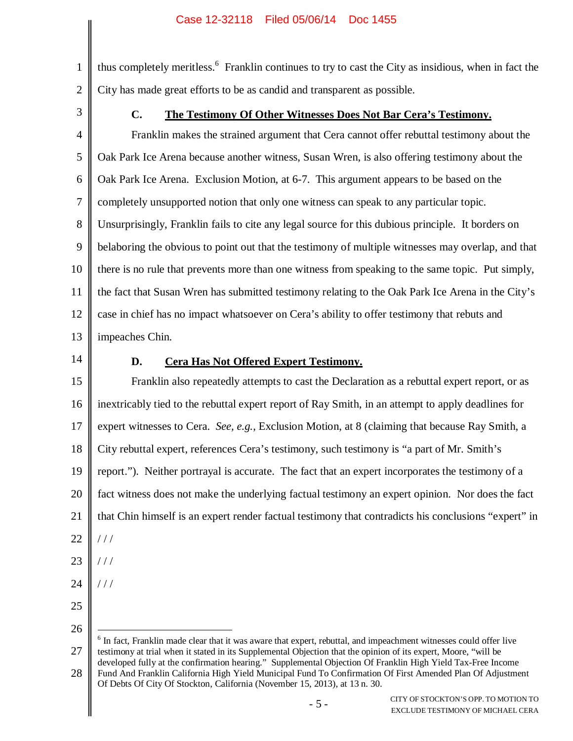thus completely meritless.<sup>6</sup> Franklin continues to try to cast the City as insidious, when in fact the City has made great efforts to be as candid and transparent as possible.

3

1

2

## **C. The Testimony Of Other Witnesses Does Not Bar Cera's Testimony.**

4 5 6 7 8 9 10 11 12 13 Franklin makes the strained argument that Cera cannot offer rebuttal testimony about the Oak Park Ice Arena because another witness, Susan Wren, is also offering testimony about the Oak Park Ice Arena. Exclusion Motion, at 6-7. This argument appears to be based on the completely unsupported notion that only one witness can speak to any particular topic. Unsurprisingly, Franklin fails to cite any legal source for this dubious principle. It borders on belaboring the obvious to point out that the testimony of multiple witnesses may overlap, and that there is no rule that prevents more than one witness from speaking to the same topic. Put simply, the fact that Susan Wren has submitted testimony relating to the Oak Park Ice Arena in the City's case in chief has no impact whatsoever on Cera's ability to offer testimony that rebuts and impeaches Chin.

14

# **D. Cera Has Not Offered Expert Testimony.**

15 16 17 18 19 20 21 22 23 Franklin also repeatedly attempts to cast the Declaration as a rebuttal expert report, or as inextricably tied to the rebuttal expert report of Ray Smith, in an attempt to apply deadlines for expert witnesses to Cera. *See, e.g.*, Exclusion Motion, at 8 (claiming that because Ray Smith, a City rebuttal expert, references Cera's testimony, such testimony is "a part of Mr. Smith's report."). Neither portrayal is accurate. The fact that an expert incorporates the testimony of a fact witness does not make the underlying factual testimony an expert opinion. Nor does the fact that Chin himself is an expert render factual testimony that contradicts his conclusions "expert" in  $111$ / / /

24

/ / /

- 25
- 26

27 <sup>6</sup> In fact, Franklin made clear that it was aware that expert, rebuttal, and impeachment witnesses could offer live testimony at trial when it stated in its Supplemental Objection that the opinion of its expert, Moore, "will be developed fully at the confirmation hearing." Supplemental Objection Of Franklin High Yield Tax-Free Income

28 Fund And Franklin California High Yield Municipal Fund To Confirmation Of First Amended Plan Of Adjustment Of Debts Of City Of Stockton, California (November 15, 2013), at 13 n. 30.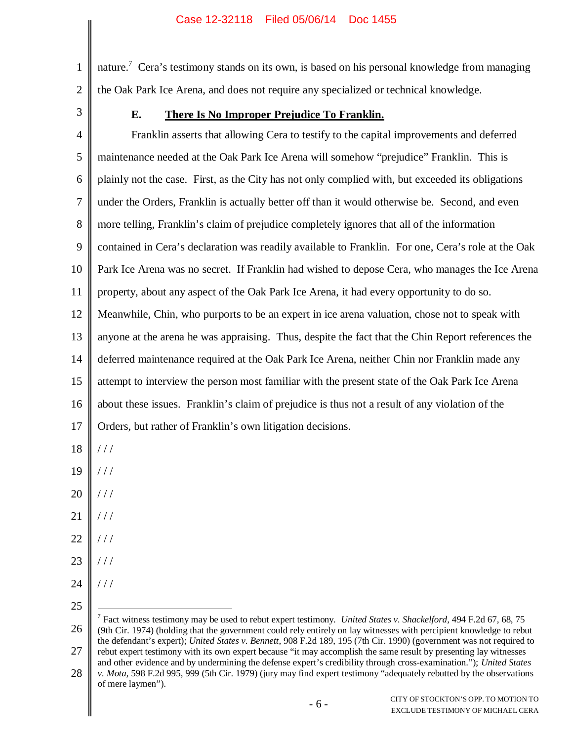1 2 nature.<sup>7</sup> Cera's testimony stands on its own, is based on his personal knowledge from managing the Oak Park Ice Arena, and does not require any specialized or technical knowledge.

3

## **E. There Is No Improper Prejudice To Franklin.**

4 5 6 7 8 9 10 11 12 13 14 15 16 17 Franklin asserts that allowing Cera to testify to the capital improvements and deferred maintenance needed at the Oak Park Ice Arena will somehow "prejudice" Franklin. This is plainly not the case. First, as the City has not only complied with, but exceeded its obligations under the Orders, Franklin is actually better off than it would otherwise be. Second, and even more telling, Franklin's claim of prejudice completely ignores that all of the information contained in Cera's declaration was readily available to Franklin. For one, Cera's role at the Oak Park Ice Arena was no secret. If Franklin had wished to depose Cera, who manages the Ice Arena property, about any aspect of the Oak Park Ice Arena, it had every opportunity to do so. Meanwhile, Chin, who purports to be an expert in ice arena valuation, chose not to speak with anyone at the arena he was appraising. Thus, despite the fact that the Chin Report references the deferred maintenance required at the Oak Park Ice Arena, neither Chin nor Franklin made any attempt to interview the person most familiar with the present state of the Oak Park Ice Arena about these issues. Franklin's claim of prejudice is thus not a result of any violation of the Orders, but rather of Franklin's own litigation decisions.

- 18  $//$
- 19  $///$
- 20 / / /
- 21  $//$
- 22 / / /
- 
- 23 / / /
- 24  $111$
- 25

<sup>26</sup> 27 7 Fact witness testimony may be used to rebut expert testimony. *United States v. Shackelford*, 494 F.2d 67, 68, 75 (9th Cir. 1974) (holding that the government could rely entirely on lay witnesses with percipient knowledge to rebut the defendant's expert); *United States v. Bennett*, 908 F.2d 189, 195 (7th Cir. 1990) (government was not required to rebut expert testimony with its own expert because "it may accomplish the same result by presenting lay witnesses

<sup>28</sup> and other evidence and by undermining the defense expert's credibility through cross-examination."); *United States v. Mota*, 598 F.2d 995, 999 (5th Cir. 1979) (jury may find expert testimony "adequately rebutted by the observations of mere laymen").